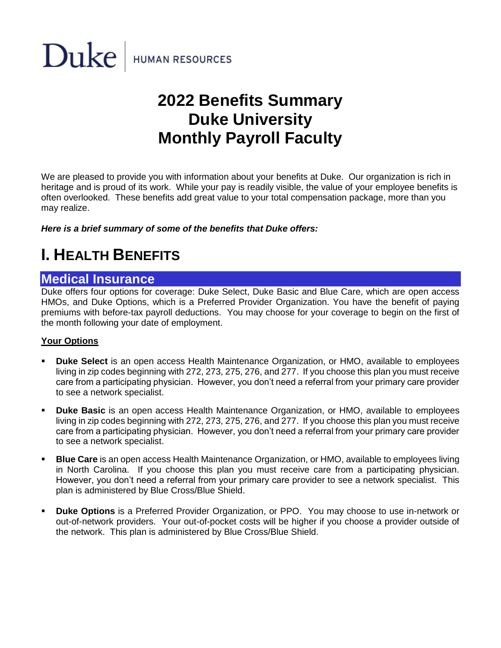

# **2022 Benefits Summary Duke University Monthly Payroll Faculty**

We are pleased to provide you with information about your benefits at Duke. Our organization is rich in heritage and is proud of its work. While your pay is readily visible, the value of your employee benefits is often overlooked. These benefits add great value to your total compensation package, more than you may realize.

*Here is a brief summary of some of the benefits that Duke offers:*

# **I. HEALTH BENEFITS**

### **Medical Insurance**

Duke offers four options for coverage: Duke Select, Duke Basic and Blue Care, which are open access HMOs, and Duke Options, which is a Preferred Provider Organization. You have the benefit of paying premiums with before-tax payroll deductions. You may choose for your coverage to begin on the first of the month following your date of employment.

### **Your Options**

- **Duke Select** is an open access Health Maintenance Organization, or HMO, available to employees living in zip codes beginning with 272, 273, 275, 276, and 277. If you choose this plan you must receive care from a participating physician. However, you don't need a referral from your primary care provider to see a network specialist.
- **Duke Basic** is an open access Health Maintenance Organization, or HMO, available to employees living in zip codes beginning with 272, 273, 275, 276, and 277. If you choose this plan you must receive care from a participating physician. However, you don't need a referral from your primary care provider to see a network specialist.
- **EXTE: Blue Care** is an open access Health Maintenance Organization, or HMO, available to employees living in North Carolina. If you choose this plan you must receive care from a participating physician. However, you don't need a referral from your primary care provider to see a network specialist. This plan is administered by Blue Cross/Blue Shield.
- **Duke Options** is a Preferred Provider Organization, or PPO. You may choose to use in-network or out-of-network providers. Your out-of-pocket costs will be higher if you choose a provider outside of the network. This plan is administered by Blue Cross/Blue Shield.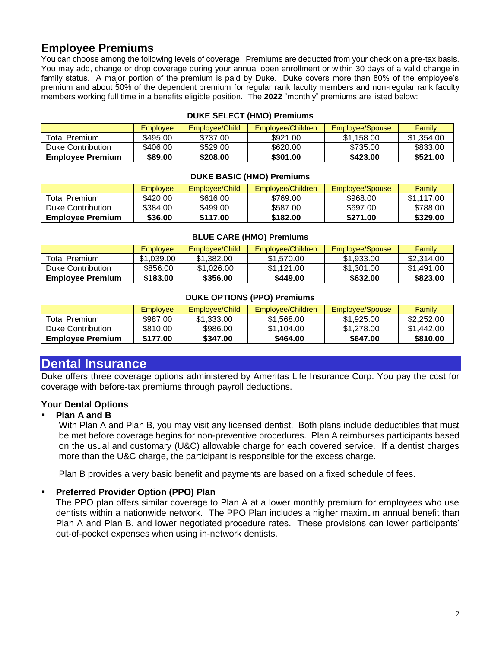# **Employee Premiums**

You can choose among the following levels of coverage. Premiums are deducted from your check on a pre-tax basis. You may add, change or drop coverage during your annual open enrollment or within 30 days of a valid change in family status. A major portion of the premium is paid by Duke. Duke covers more than 80% of the employee's premium and about 50% of the dependent premium for regular rank faculty members and non-regular rank faculty members working full time in a benefits eligible position. The **2022** "monthly" premiums are listed below:

|                         | <b>Employee</b> | Employee/Child | Employee/Children | Employee/Spouse | Family     |
|-------------------------|-----------------|----------------|-------------------|-----------------|------------|
| Total Premium           | \$495.00        | \$737.00       | \$921.00          | \$1.158.00      | \$1.354.00 |
| Duke Contribution       | \$406.00        | \$529.00       | \$620.00          | \$735.00        | \$833.00   |
| <b>Employee Premium</b> | \$89.00         | \$208.00       | \$301.00          | \$423.00        | \$521.00   |

#### **DUKE SELECT (HMO) Premiums**

#### **DUKE BASIC (HMO) Premiums**

|                         | Employee | Employee/Child | Employee/Children | Employee/Spouse | Family     |
|-------------------------|----------|----------------|-------------------|-----------------|------------|
| <b>Total Premium</b>    | \$420.00 | \$616.00       | \$769.00          | \$968.00        | \$1.117.00 |
| Duke Contribution       | \$384.00 | \$499.00       | \$587.00          | \$697.00        | \$788.00   |
| <b>Employee Premium</b> | \$36.00  | \$117.00       | \$182.00          | \$271.00        | \$329.00   |

#### **BLUE CARE (HMO) Premiums**

|                         | <b>Employee</b> | Employee/Child | Employee/Children | Employee/Spouse | Family     |
|-------------------------|-----------------|----------------|-------------------|-----------------|------------|
| <b>Total Premium</b>    | \$1.039.00      | \$1.382.00     | \$1.570.00        | \$1,933.00      | \$2,314.00 |
| Duke Contribution       | \$856.00        | \$1.026.00     | \$1.121.00        | \$1,301.00      | \$1.491.00 |
| <b>Employee Premium</b> | \$183.00        | \$356.00       | \$449.00          | \$632.00        | \$823.00   |

#### **DUKE OPTIONS (PPO) Premiums**

|                         | <b>Employee</b> | Employee/Child | Employee/Children | Employee/Spouse | Family     |
|-------------------------|-----------------|----------------|-------------------|-----------------|------------|
| <b>Total Premium</b>    | \$987.00        | \$1.333.00     | \$1,568.00        | \$1,925,00      | \$2,252,00 |
| Duke Contribution       | \$810.00        | \$986.00       | \$1.104.00        | \$1,278,00      | \$1.442.00 |
| <b>Employee Premium</b> | \$177.00        | \$347.00       | \$464.00          | \$647.00        | \$810.00   |

## **Dental Insurance**

Duke offers three coverage options administered by Ameritas Life Insurance Corp. You pay the cost for coverage with before-tax premiums through payroll deductions.

### **Your Dental Options**

#### **Plan A and B**

With Plan A and Plan B, you may visit any licensed dentist. Both plans include deductibles that must be met before coverage begins for non-preventive procedures. Plan A reimburses participants based on the usual and customary (U&C) allowable charge for each covered service. If a dentist charges more than the U&C charge, the participant is responsible for the excess charge.

Plan B provides a very basic benefit and payments are based on a fixed schedule of fees.

#### ▪ **Preferred Provider Option (PPO) Plan**

The PPO plan offers similar coverage to Plan A at a lower monthly premium for employees who use dentists within a nationwide network. The PPO Plan includes a higher maximum annual benefit than Plan A and Plan B, and lower negotiated procedure rates. These provisions can lower participants' out-of-pocket expenses when using in-network dentists.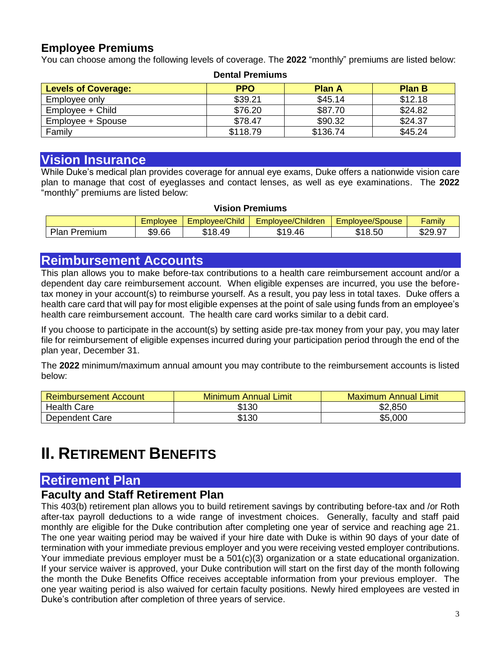### **Employee Premiums**

You can choose among the following levels of coverage. The **2022** "monthly" premiums are listed below:

| рспан геппинэ              |            |               |               |  |  |
|----------------------------|------------|---------------|---------------|--|--|
| <b>Levels of Coverage:</b> | <b>PPO</b> | <b>Plan A</b> | <b>Plan B</b> |  |  |
| Employee only              | \$39.21    | \$45.14       | \$12.18       |  |  |
| Employee + Child           | \$76.20    | \$87.70       | \$24.82       |  |  |
| Employee + Spouse          | \$78.47    | \$90.32       | \$24.37       |  |  |
| Family                     | \$118.79   | \$136.74      | \$45.24       |  |  |

# **Dental Premiums**

### **Vision Insurance**

While Duke's medical plan provides coverage for annual eye exams, Duke offers a nationwide vision care plan to manage that cost of eyeglasses and contact lenses, as well as eye examinations. The **2022** "monthly" premiums are listed below:

#### **Vision Premiums**

|                 | <b>Employee</b> | Employee/Child          | Employee/Children | Employee/Spouse     | Family       |
|-----------------|-----------------|-------------------------|-------------------|---------------------|--------------|
| Plan<br>Premium | \$9.66          | .49<br><b>010</b><br>۰D | 9.46<br>ጥብ.<br>۰D | <sup>\$</sup> 18.5∪ | ፍንQ<br>ນ∠ສ.ສ |

### **Reimbursement Accounts**

This plan allows you to make before-tax contributions to a health care reimbursement account and/or a dependent day care reimbursement account. When eligible expenses are incurred, you use the beforetax money in your account(s) to reimburse yourself. As a result, you pay less in total taxes. Duke offers a health care card that will pay for most eligible expenses at the point of sale using funds from an employee's health care reimbursement account. The health care card works similar to a debit card.

If you choose to participate in the account(s) by setting aside pre-tax money from your pay, you may later file for reimbursement of eligible expenses incurred during your participation period through the end of the plan year, December 31.

The **2022** minimum/maximum annual amount you may contribute to the reimbursement accounts is listed below:

| <b>Reimbursement Account</b> | <b>Minimum Annual Limit</b> | Maximum Annual Limit |
|------------------------------|-----------------------------|----------------------|
| <b>Health Care</b>           | \$130                       | \$2,850              |
| Dependent Care               | \$130                       | \$5,000              |

# **II.** RETIREMENT BENEFITS

# **Retirement Plan**

# **Faculty and Staff Retirement Plan**

This 403(b) retirement plan allows you to build retirement savings by contributing before-tax and /or Roth after-tax payroll deductions to a wide range of investment choices. Generally, faculty and staff paid monthly are eligible for the Duke contribution after completing one year of service and reaching age 21. The one year waiting period may be waived if your hire date with Duke is within 90 days of your date of termination with your immediate previous employer and you were receiving vested employer contributions. Your immediate previous employer must be a 501(c)(3) organization or a state educational organization. If your service waiver is approved, your Duke contribution will start on the first day of the month following the month the Duke Benefits Office receives acceptable information from your previous employer. The one year waiting period is also waived for certain faculty positions. Newly hired employees are vested in Duke's contribution after completion of three years of service.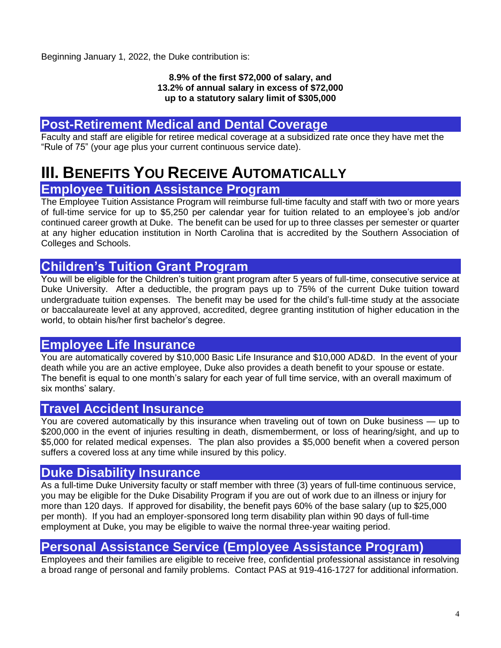Beginning January 1, 2022, the Duke contribution is:

#### **8.9% of the first \$72,000 of salary, and 13.2% of annual salary in excess of \$72,000 up to a statutory salary limit of \$305,000**

# **Post-Retirement Medical and Dental Coverage**

Faculty and staff are eligible for retiree medical coverage at a subsidized rate once they have met the "Rule of 75" (your age plus your current continuous service date).

# **III. BENEFITS YOU RECEIVE AUTOMATICALLY Employee Tuition Assistance Program**

The Employee Tuition Assistance Program will reimburse full-time faculty and staff with two or more years of full-time service for up to \$5,250 per calendar year for tuition related to an employee's job and/or continued career growth at Duke. The benefit can be used for up to three classes per semester or quarter at any higher education institution in North Carolina that is accredited by the Southern Association of Colleges and Schools.

# **Children's Tuition Grant Program**

You will be eligible for the Children's tuition grant program after 5 years of full-time, consecutive service at Duke University. After a deductible, the program pays up to 75% of the current Duke tuition toward undergraduate tuition expenses. The benefit may be used for the child's full-time study at the associate or baccalaureate level at any approved, accredited, degree granting institution of higher education in the world, to obtain his/her first bachelor's degree.

# **Employee Life Insurance**

You are automatically covered by \$10,000 Basic Life Insurance and \$10,000 AD&D. In the event of your death while you are an active employee, Duke also provides a death benefit to your spouse or estate. The benefit is equal to one month's salary for each year of full time service, with an overall maximum of six months' salary.

## **Travel Accident Insurance**

You are covered automatically by this insurance when traveling out of town on Duke business — up to \$200,000 in the event of injuries resulting in death, dismemberment, or loss of hearing/sight, and up to \$5,000 for related medical expenses. The plan also provides a \$5,000 benefit when a covered person suffers a covered loss at any time while insured by this policy.

## **Duke Disability Insurance**

As a full-time Duke University faculty or staff member with three (3) years of full-time continuous service, you may be eligible for the Duke Disability Program if you are out of work due to an illness or injury for more than 120 days. If approved for disability, the benefit pays 60% of the base salary (up to \$25,000 per month). If you had an employer-sponsored long term disability plan within 90 days of full-time employment at Duke, you may be eligible to waive the normal three-year waiting period.

# **Personal Assistance Service (Employee Assistance Program)**

Employees and their families are eligible to receive free, confidential professional assistance in resolving a broad range of personal and family problems. Contact PAS at 919-416-1727 for additional information.